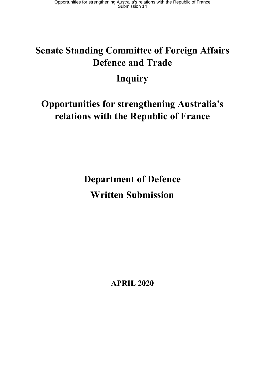# **Senate Standing Committee of Foreign Affairs Defence and Trade**

# **Inquiry**

# **Opportunities for strengthening Australia's relations with the Republic of France**

**Department of Defence Written Submission**

**APRIL 2020**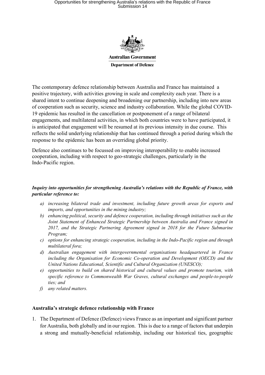## Opportunities for strengthening Australia's relations with the Republic of France Submission 14



**Australian Government Department of Defence** 

The contemporary defence relationship between Australia and France has maintained a positive trajectory, with activities growing in scale and complexity each year. There is a shared intent to continue deepening and broadening our partnership, including into new areas of cooperation such as security, science and industry collaboration. While the global COVID-19 epidemic has resulted in the cancellation or postponement of a range of bilateral engagements, and multilateral activities, in which both countries were to have participated, it is anticipated that engagement will be resumed at its previous intensity in due course. This reflects the solid underlying relationship that has continued through a period during which the response to the epidemic has been an overriding global priority.

Defence also continues to be focussed on improving interoperability to enable increased cooperation, including with respect to geo-strategic challenges, particularly in the Indo-Pacific region.

#### *Inquiry into opportunities for strengthening Australia's relations with the Republic of France, with particular reference to:*

- *a) increasing bilateral trade and investment, including future growth areas for exports and imports, and opportunities in the mining industry;*
- *b) enhancing political, security and defence cooperation, including through initiatives such as the Joint Statement of Enhanced Strategic Partnership between Australia and France signed in 2017, and the Strategic Partnering Agreement signed in 2018 for the Future Submarine Program;*
- *c) options for enhancing strategic cooperation, including in the Indo-Pacific region and through multilateral fora;*
- *d) Australian engagement with intergovernmental organisations headquartered in France including the Organisation for Economic Co-operation and Development (OECD) and the United Nations Educational, Scientific and Cultural Organization (UNESCO);*
- *e) opportunities to build on shared historical and cultural values and promote tourism, with specific reference to Commonwealth War Graves, cultural exchanges and people-to-people ties; and*
- *f) any related matters.*

#### **Australia's strategic defence relationship with France**

1. The Department of Defence (Defence) views France as an important and significant partner for Australia, both globally and in our region. This is due to a range of factors that underpin a strong and mutually-beneficial relationship, including our historical ties, geographic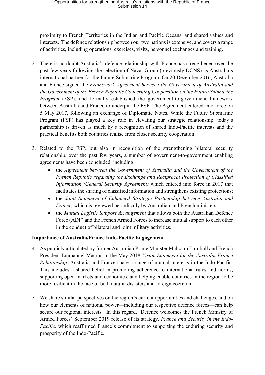proximity to French Territories in the Indian and Pacific Oceans, and shared values and interests. The defence relationship between our two nations is extensive, and covers a range of activities, including operations, exercises, visits, personnel exchanges and training.

- 2. There is no doubt Australia's defence relationship with France has strengthened over the past few years following the selection of Naval Group (previously DCNS) as Australia's international partner for the Future Submarine Program. On 20 December 2016, Australia and France signed the *Framework Agreement between the Government of Australia and the Government of the French Republic Concerning Cooperation on the Future Submarine Program* (FSP), and formally established the government-to-government framework between Australia and France to underpin the FSP. The Agreement entered into force on 5 May 2017, following an exchange of Diplomatic Notes. While the Future Submarine Program (FSP) has played a key role in elevating our strategic relationship, today's partnership is driven as much by a recognition of shared Indo-Pacific interests and the practical benefits both countries realise from closer security cooperation.
- 3. Related to the FSP, but also in recognition of the strengthening bilateral security relationship, over the past few years, a number of government-to-government enabling agreements have been concluded, including:
	- the *Agreement between the Government of Australia and the Government of the French Republic regarding the Exchange and Reciprocal Protection of Classified Information (General Security Agreement)* which entered into force in 2017 that facilitates the sharing of classified information and strengthens existing protections;
	- the *Joint Statement of Enhanced Strategic Partnership between Australia and France*, which is reviewed periodically by Australian and French ministers;
	- the *Mutual Logistic Support Arrangement* that allows both the Australian Defence Force (ADF) and the French Armed Forces to increase mutual support to each other in the conduct of bilateral and joint military activities.

### **Importance of Australia/France Indo-Pacific Engagement**

- 4. As publicly articulated by former Australian Prime Minister Malcolm Turnbull and French President Emmanuel Macron in the May 2018 *Vision Statement for the Australia-France Relationship*, Australia and France share a range of mutual interests in the Indo-Pacific. This includes a shared belief in promoting adherence to international rules and norms, supporting open markets and economies, and helping enable countries in the region to be more resilient in the face of both natural disasters and foreign coercion.
- 5. We share similar perspectives on the region's current opportunities and challenges, and on how our elements of national power—including our respective defence forces—can help secure our regional interests. In this regard, Defence welcomes the French Ministry of Armed Forces' September 2019 release of its strategy, *France and Security in the Indo-Pacific*, which reaffirmed France's commitment to supporting the enduring security and prosperity of the Indo-Pacific.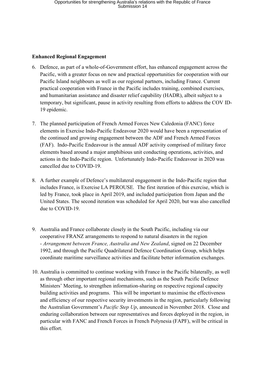#### **Enhanced Regional Engagement**

- 6. Defence, as part of a whole-of-Government effort, has enhanced engagement across the Pacific, with a greater focus on new and practical opportunities for cooperation with our Pacific Island neighbours as well as our regional partners, including France. Current practical cooperation with France in the Pacific includes training, combined exercises, and humanitarian assistance and disaster relief capability (HADR), albeit subject to a temporary, but significant, pause in activity resulting from efforts to address the COV ID-19 epidemic.
- 7. The planned participation of French Armed Forces New Caledonia (FANC) force elements in Exercise Indo-Pacific Endeavour 2020 would have been a representation of the continued and growing engagement between the ADF and French Armed Forces (FAF). Indo-Pacific Endeavour is the annual ADF activity comprised of military force elements based around a major amphibious unit conducting operations, activities, and actions in the Indo-Pacific region. Unfortunately Indo-Pacific Endeavour in 2020 was cancelled due to COVID-19.
- 8. A further example of Defence's multilateral engagement in the Indo-Pacific region that includes France, is Exercise LA PEROUSE*.* The first iteration of this exercise, which is led by France, took place in April 2019, and included participation from Japan and the United States. The second iteration was scheduled for April 2020, but was also cancelled due to COVID-19.
- 9. Australia and France collaborate closely in the South Pacific, including via our cooperative FRANZ arrangements to respond to natural disasters in the region - *Arrangement between France, Australia and New Zealand*, signed on 22 December 1992, and through the Pacific Quadrilateral Defence Coordination Group, which helps coordinate maritime surveillance activities and facilitate better information exchanges.
- 10. Australia is committed to continue working with France in the Pacific bilaterally, as well as through other important regional mechanisms, such as the South Pacific Defence Ministers' Meeting, to strengthen information-sharing on respective regional capacity building activities and programs. This will be important to maximise the effectiveness and efficiency of our respective security investments in the region, particularly following the Australian Government's *Pacific Step Up*, announced in November 2018. Close and enduring collaboration between our representatives and forces deployed in the region, in particular with FANC and French Forces in French Polynesia (FAPF), will be critical in this effort.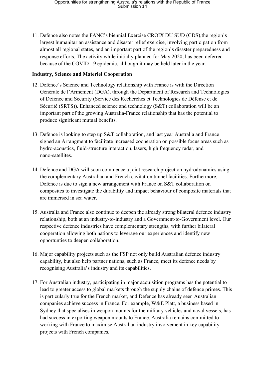11. Defence also notes the FANC's biennial Exercise CROIX DU SUD (CDS),the region's largest humanitarian assistance and disaster relief exercise, involving participation from almost all regional states, and an important part of the region's disaster preparedness and response efforts. The activity while initially planned for May 2020, has been deferred because of the COVID-19 epidemic, although it may be held later in the year.

#### **Industry, Science and Materiel Cooperation**

- 12. Defence's Science and Technology relationship with France is with the Direction Générale de l'Armement (DGA), through the Department of Research and Technologies of Defence and Security (Service des Recherches et Technologies de Défense et de Sécurité (SRTS)). Enhanced science and technology (S&T) collaboration will be an important part of the growing Australia-France relationship that has the potential to produce significant mutual benefits.
- 13. Defence is looking to step up S&T collaboration, and last year Australia and France signed an Arrangment to facilitate increased cooperation on possible focus areas such as hydro-acoustics, fluid-structure interaction, lasers, high frequency radar, and nano-satellites.
- 14. Defence and DGA will soon commence a joint research project on hydrodynamics using the complementary Australian and French cavitation tunnel facilities. Furthermore, Defence is due to sign a new arrangement with France on S&T collaboration on composites to investigate the durability and impact behaviour of composite materials that are immersed in sea water.
- 15. Australia and France also continue to deepen the already strong bilateral defence industry relationship, both at an industry-to-industry and a Government-to-Government level. Our respective defence industries have complementary strengths, with further bilateral cooperation allowing both nations to leverage our experiences and identify new opportunties to deepen collaboration.
- 16. Major capability projects such as the FSP not only build Australian defence industry capability, but also help partner nations, such as France, meet its defence needs by recognising Australia's industry and its capabilities.
- 17. For Australian industry, participating in major acquisition programs has the potential to lead to greater access to global markets through the supply chains of defence primes. This is particularly true for the French market, and Defence has already seen Australian companies achieve success in France. For example, W&E Platt, a business based in Sydney that specialises in weapon mounts for the military vehicles and naval vessels, has had success in exporting weapon mounts to France. Australia remains committed to working with France to maximise Australian industry involvement in key capability projects with French companies.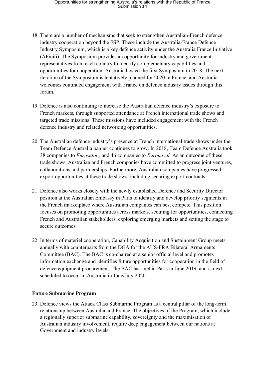- 18. There are a number of mechanisms that seek to strengthen Australian-French defence industry cooperation beyond the FSP. These include the Australia-France Defence Industry Symposium, which is a key defence activity under the Australia France Initiative (AFiniti). The Symposium provides an opportunity for industry and government representatives from each country to identify complementary capabilities and opportunities for cooperation. Australia hosted the first Symposium in 2018. The next iteration of the Symposium is tentatively planned for 2020 in France, and Australia welcomes continued engagement with France on defence industry issues through this forum.
- 19. Defence is also continuing to increase the Australian defence industry's exposure to French markets, through supported attendance at French international trade shows and targeted trade missions. These missions have included engagement with the French defence industry and related networking opportunities.
- 20. The Australian defence industry's presence at French international trade shows under the Team Defence Australia banner continues to grow. In 2018, Team Defence Australia took 38 companies to *Eurosatory* and 46 companies to *Euronaval.* As an outcome of these trade shows, Australian and French companies have committed to progress joint ventures, collaborations and partnerships. Furthermore, Australian companies have progressed export opportunities at these trade shows, including securing export contracts.
- 21. Defence also works closely with the newly established Defence and Security Director position at the Australian Embassy in Paris to identify and develop priority segments in the French marketplace where Australian companies can best compete. This position focuses on promoting opportunities across markets, scouting for opportunities, connecting French and Australian stakeholders, exploring emerging markets and setting the stage to secure outcomes.
- 22. In terms of materiel cooperation, Capability Acquisition and Sustainment Group meets annually with counterparts from the DGA for the AUS-FRA Bilateral Armaments Committee (BAC). The BAC is co-chaired at a senior official level and promotes information exchange and identifies future opportunities for cooperation in the field of defence equipment procurement. The BAC last met in Paris in June 2019, and is next scheduled to occur in Australia in June/July 2020.

### **Future Submarine Program**

23. Defence views the Attack Class Submarine Program as a central pillar of the long-term relationship between Australia and France. The objectives of the Program, which include a regionally superior submarine capability, sovereignty and the maximisation of Australian industry involvement, require deep engagement between our nations at Government and industry levels.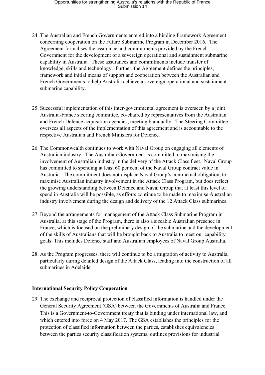- 24. The Australian and French Governments entered into a binding Framework Agreement concerning cooperation on the Future Submarine Program in December 2016. The Agreement formalises the assurance and commitments provided by the French Government for the development of a sovereign operational and sustainment submarine capability in Australia. These assurances and commitments include transfer of knowledge, skills and technology. Further, the Agreement defines the principles, framework and initial means of support and cooperation between the Australian and French Governments to help Australia achieve a sovereign operational and sustainment submarine capability.
- 25. Successful implementation of this inter-governmental agreement is overseen by a joint Australia-France steering committee, co-chaired by representatives from the Australian and French Defence acquisition agencies, meeting biannually. The Steering Committee oversees all aspects of the implementation of this agreement and is accountable to the respective Australian and French Ministers for Defence.
- 26. The Commonwealth continues to work with Naval Group on engaging all elements of Australian industry. The Australian Government is committed to maximising the involvement of Australian industry in the delivery of the Attack Class fleet. Naval Group has committed to spending at least 60 per cent of the Naval Group contract value in Australia. The commitment does not displace Naval Group's contractual obligation, to maximise Australian industry involvement in the Attack Class Program, but does reflect the growing understanding between Defence and Naval Group that at least this level of spend in Australia will be possible, as efforts continue to be made to maximise Australian industry involvement during the design and delivery of the 12 Attack Class submarines.
- 27. Beyond the arrangements for management of the Attack Class Submarine Program in Australia, at this stage of the Program, there is also a sizeable Australian presence in France, which is focused on the preliminary design of the submarine and the development of the skills of Australians that will be brought back to Australia to meet our capability goals. This includes Defence staff and Australian employees of Naval Group Australia.
- 28. As the Program progresses, there will continue to be a migration of activity to Australia, particularly during detailed design of the Attack Class, leading into the construction of all submarines in Adelaide.

#### **International Security Policy Cooperation**

29. The exchange and reciprocal protection of classified information is handled under the General Security Agreement (GSA) between the Governments of Australia and France. This is a Government-to-Government treaty that is binding under international law, and which entered into force on 4 May 2017. The GSA establishes the principles for the protection of classified information between the parties, establishes equivalencies between the parties security classification systems, outlines provisions for industrial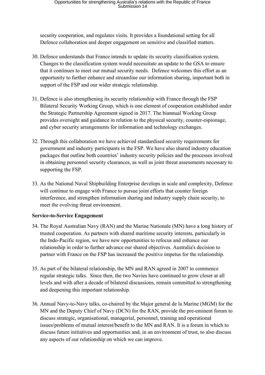security cooperation, and regulates visits. It provides a foundational setting for all Defence collaboration and deeper engagement on sensitive and classified matters.

- 30. Defence understands that France intends to update its security classification system. Changes to the classification system would necessitate an update to the GSA to ensure that it continues to meet our mutual security needs. Defence welcomes this effort as an opportunity to further enhance and streamline our information sharing, important both in support of the FSP and our wider strategic relationship.
- 31. Defence is also strengthening its security relationship with France through the FSP Bilateral Security Working Group, which is one element of cooperation established under the Strategic Partnership Agreement signed in 2017. The biannual Working Group provides oversight and guidance in relation to the physical security, counter-espionage, and cyber security arrangements for information and technology exchanges.
- 32. Through this collaboration we have achieved standardised security requirements for government and industry participants in the FSP. We have also shared industry education packages that outline both countries' industry security policies and the processes involved in obtaining personnel security clearances, as well as joint threat assessments necessary to supporting the FSP.
- 33. As the National Naval Shipbuilding Enterprise develops in scale and complexity, Defence will continue to engage with France to pursue joint efforts that counter foreign interference, and strengthen information sharing and industry supply chain security, to meet the evolving threat environment.

#### **Service-to-Service Engagement**

- 34. The Royal Australian Navy (RAN) and the Marine Nationale (MN) have a long history of trusted cooperation. As partners with shared maritime security interests, particularly in the Indo-Pacific region, we have new opportunities to refocus and enhance our relationship in order to further advance our shared objectives. Australia's decision to partner with France on the FSP has increased the positive impetus for the relationship.
- 35. As part of the bilateral relationship, the MN and RAN agreed in 2007 to commence regular strategic talks. Since then, the two Navies have continued to grow closer at all levels and with after a decade of bilateral discussions, remain committed to strengthening and deepening this important relationship.
- 36. Annual Navy-to-Navy talks, co-chaired by the Major general de la Marine (MGM) for the MN and the Deputy Chief of Navy (DCN) for the RAN, provide the pre-eminent forum to discuss strategic, organisational, managerial, personnel, training and operational issues/problems of mutual interest/benefit to the MN and RAN. It is a forum in which to discuss future initiatives and opportunities and, in an environment of trust, to also discuss any aspects of our relationship on which we can improve.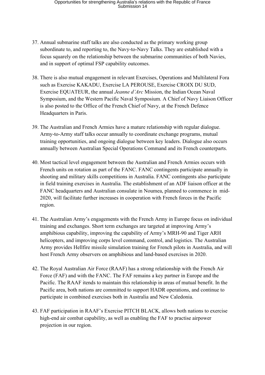- 37. Annual submarine staff talks are also conducted as the primary working group subordinate to, and reporting to, the Navy-to-Navy Talks. They are established with a focus squarely on the relationship between the submarine communities of both Navies, and in support of optimal FSP capability outcomes.
- 38. There is also mutual engagement in relevant Exercises, Operations and Multilateral Fora such as Exercise KAKADU, Exercise LA PEROUSE, Exercise CROIX DU SUD, Exercise EQUATEUR, the annual *Jeanne d'Arc* Mission, the Indian Ocean Naval Symposium, and the Western Pacific Naval Symposium. A Chief of Navy Liaison Officer is also posted to the Office of the French Chief of Navy, at the French Defence Headquarters in Paris.
- 39. The Australian and French Armies have a mature relationship with regular dialogue. Army-to-Army staff talks occur annually to coordinate exchange programs, mutual training opportunities, and ongoing dialogue between key leaders. Dialogue also occurs annually between Australian Special Operations Command and its French counterparts.
- 40. Most tactical level engagement between the Australian and French Armies occurs with French units on rotation as part of the FANC. FANC contingents participate annually in shooting and military skills competitions in Australia. FANC contingents also participate in field training exercises in Australia. The establishment of an ADF liaison officer at the FANC headquarters and Australian consulate in Noumea, planned to commence in mid-2020, will facilitate further increases in cooperation with French forces in the Pacific region.
- 41. The Australian Army's engagements with the French Army in Europe focus on individual training and exchanges. Short term exchanges are targeted at improving Army's amphibious capability, improving the capability of Army's MRH-90 and Tiger ARH helicopters, and improving corps level command, control, and logistics. The Australian Army provides Hellfire missile simulation training for French pilots in Australia, and will host French Army observers on amphibious and land-based exercises in 2020.
- 42. The Royal Australian Air Force (RAAF) has a strong relationship with the French Air Force (FAF) and with the FANC. The FAF remains a key partner in Europe and the Pacific. The RAAF itends to maintain this relationship in areas of mutual benefit. In the Pacific area, both nations are committed to support HADR operations, and continue to participate in combined exercises both in Australia and New Caledonia.
- 43. FAF participation in RAAF's Exercise PITCH BLACK, allows both nations to exercise high-end air combat capability, as well as enabling the FAF to practise airpower projection in our region.